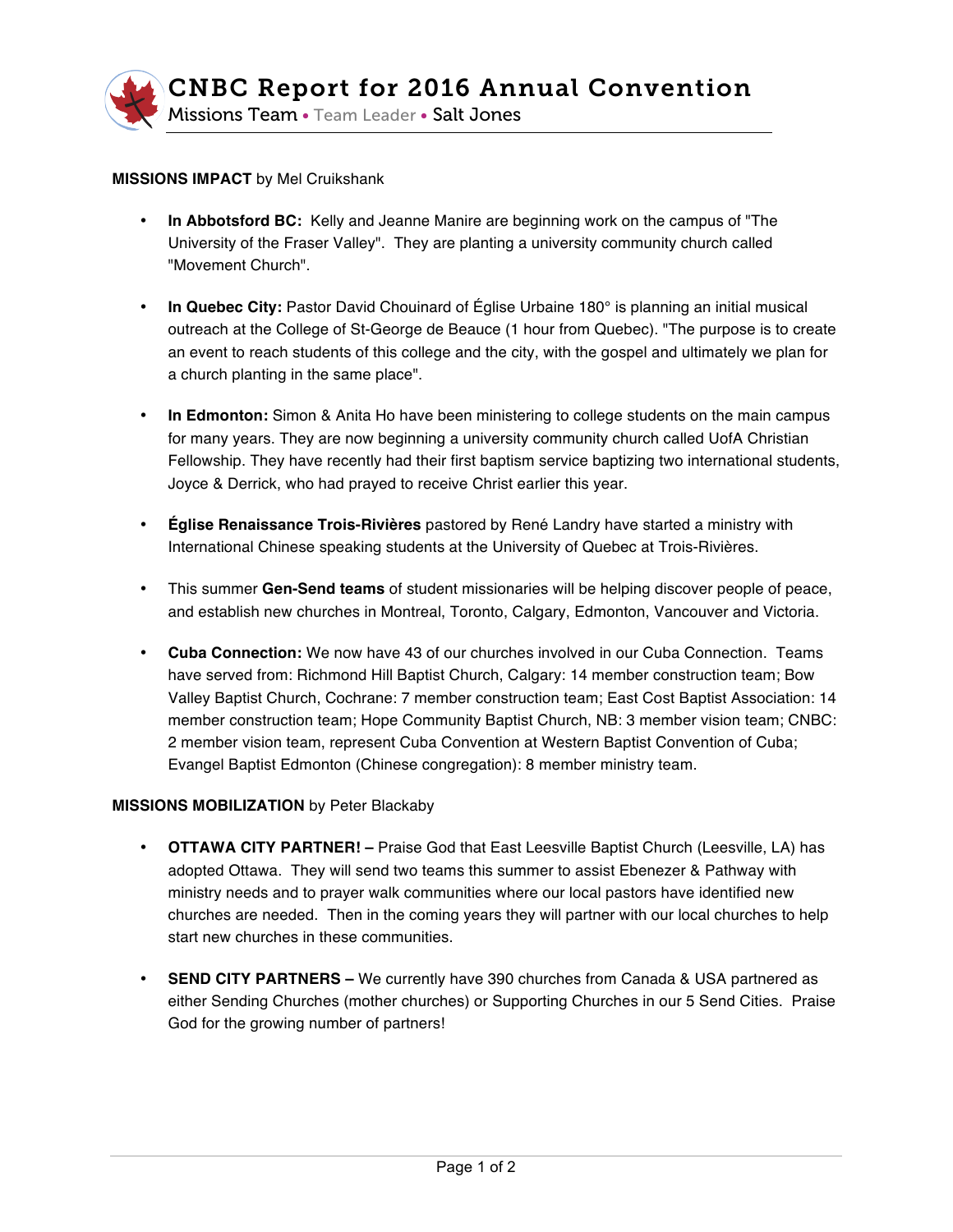

## **MISSIONS IMPACT** by Mel Cruikshank

- **In Abbotsford BC:** Kelly and Jeanne Manire are beginning work on the campus of "The University of the Fraser Valley". They are planting a university community church called "Movement Church".
- **In Quebec City:** Pastor David Chouinard of Église Urbaine 180° is planning an initial musical outreach at the College of St-George de Beauce (1 hour from Quebec). "The purpose is to create an event to reach students of this college and the city, with the gospel and ultimately we plan for a church planting in the same place".
- **In Edmonton:** Simon & Anita Ho have been ministering to college students on the main campus for many years. They are now beginning a university community church called UofA Christian Fellowship. They have recently had their first baptism service baptizing two international students, Joyce & Derrick, who had prayed to receive Christ earlier this year.
- **Église Renaissance Trois-Rivières** pastored by René Landry have started a ministry with International Chinese speaking students at the University of Quebec at Trois-Rivières.
- This summer **Gen-Send teams** of student missionaries will be helping discover people of peace, and establish new churches in Montreal, Toronto, Calgary, Edmonton, Vancouver and Victoria.
- **Cuba Connection:** We now have 43 of our churches involved in our Cuba Connection. Teams have served from: Richmond Hill Baptist Church, Calgary: 14 member construction team; Bow Valley Baptist Church, Cochrane: 7 member construction team; East Cost Baptist Association: 14 member construction team; Hope Community Baptist Church, NB: 3 member vision team; CNBC: 2 member vision team, represent Cuba Convention at Western Baptist Convention of Cuba; Evangel Baptist Edmonton (Chinese congregation): 8 member ministry team.

## **MISSIONS MOBILIZATION** by Peter Blackaby

- **OTTAWA CITY PARTNER! –** Praise God that East Leesville Baptist Church (Leesville, LA) has adopted Ottawa. They will send two teams this summer to assist Ebenezer & Pathway with ministry needs and to prayer walk communities where our local pastors have identified new churches are needed. Then in the coming years they will partner with our local churches to help start new churches in these communities.
- **SEND CITY PARTNERS –** We currently have 390 churches from Canada & USA partnered as either Sending Churches (mother churches) or Supporting Churches in our 5 Send Cities. Praise God for the growing number of partners!